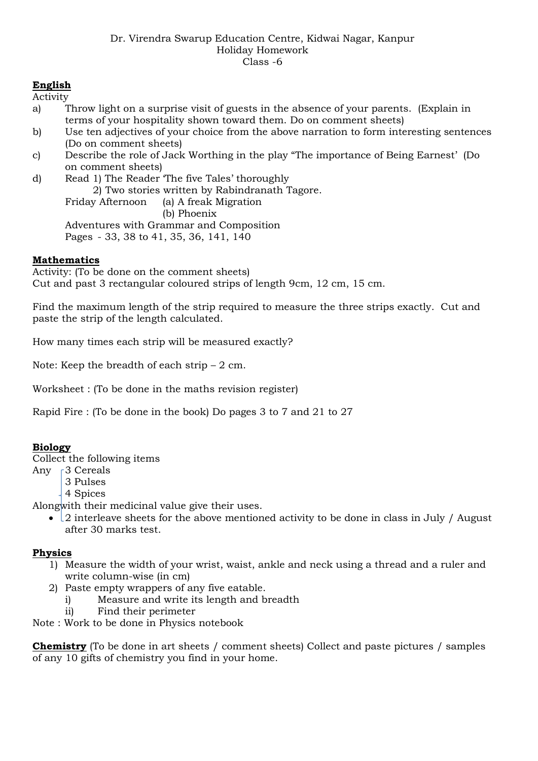### **English**

Activity

- a) Throw light on a surprise visit of guests in the absence of your parents. (Explain in terms of your hospitality shown toward them. Do on comment sheets)
- b) Use ten adjectives of your choice from the above narration to form interesting sentences (Do on comment sheets)
- c) Describe the role of Jack Worthing in the play "The importance of Being Earnest' (Do on comment sheets)
- d) Read 1) The Reader 'The five Tales' thoroughly 2) Two stories written by Rabindranath Tagore. Friday Afternoon (a) A freak Migration

(b) Phoenix Adventures with Grammar and Composition

Pages - 33, 38 to 41, 35, 36, 141, 140

### **Mathematics**

Activity: (To be done on the comment sheets) Cut and past 3 rectangular coloured strips of length 9cm, 12 cm, 15 cm.

Find the maximum length of the strip required to measure the three strips exactly. Cut and paste the strip of the length calculated.

How many times each strip will be measured exactly?

Note: Keep the breadth of each strip  $-2$  cm.

Worksheet : (To be done in the maths revision register)

Rapid Fire : (To be done in the book) Do pages 3 to 7 and 21 to 27

### **Biology**

Collect the following items

- Any 53 Cereals
	- 3 Pulses
	- 4 Spices

Alongwith their medicinal value give their uses.

• 2 interleave sheets for the above mentioned activity to be done in class in July / August after 30 marks test.

#### **Physics**

- 1) Measure the width of your wrist, waist, ankle and neck using a thread and a ruler and write column-wise (in cm)
- 2) Paste empty wrappers of any five eatable.
	- i) Measure and write its length and breadth
	- ii) Find their perimeter

Note : Work to be done in Physics notebook

**Chemistry** (To be done in art sheets / comment sheets) Collect and paste pictures / samples of any 10 gifts of chemistry you find in your home.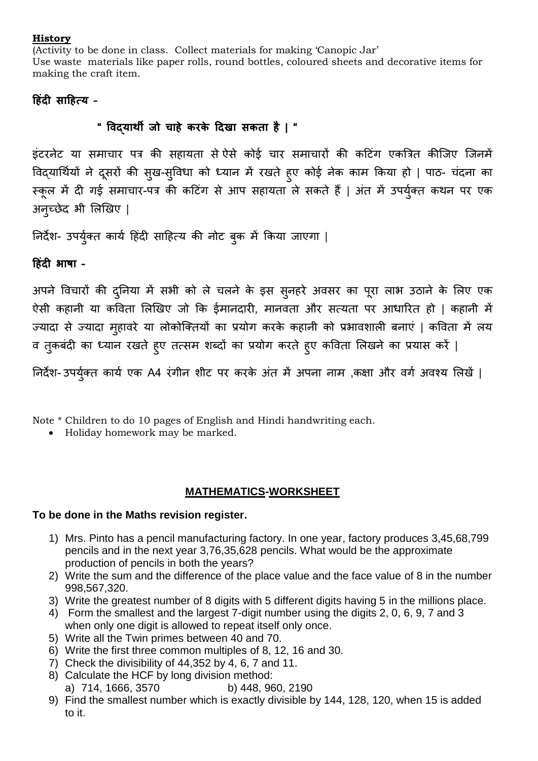#### **History**

(Activity to be done in class. Collect materials for making 'Canopic Jar' Use waste materials like paper rolls, round bottles, coloured sheets and decorative items for making the craft item.

## **हििंदी साहित्य –**

# **" विद्यार्थी जो चािे करके हदखा सकता िै | "**

इंटरनेट या समाचार पत्र की सहायता सेऐसे कोई चार समाचारों की कटटंग एकत्रत्रत कीजिए जिनमें विद्यार्थियों ने दूसरों की सुख-सुविधा को ध्यान में रखते हुए कोई नेक काम किया हो | पाठ- चंदना का स्कूल में दी गई समाचार-पत्र की कटिंग से आप सहायता ले सकते हैं | अंत में उपर्युक्त कथन पर एक अनुच्छेद भी लिखिए |

निर्देश- उपर्युक्त कार्य हिंदी साहित्य की नोट बुक में किया जाएगा |

**हििंदी भाषा –**

अपने विचारों की दुनिया में सभी को ले चलने के इस सुनहरे अवसर का पूरा लाभ उठाने के लिए एक ऐसी कहानी या कविता लिखिए जो कि ईमानदारी, मानवता और सत्यता पर आधारित हो | कहानी में ज्यादा से ज्यादा मुहावरे या लोकोक्तियों का प्रयोग करके कहानी को प्रभावशाली बनाएं | कविता में लय व तुकबंदी का ध्यान रखते हुए तत्सम शब्दों का प्रयोग करते हुए कविता लिखने का प्रयास करें |

निर्देश- उपर्युक्त कार्य एक A4 रंगीन शीट पर करके अंत में अपना नाम ,कक्षा और वर्ग अवश्य लिखें |

Note \* Children to do 10 pages of English and Hindi handwriting each.

• Holiday homework may be marked.

## **MATHEMATICS-WORKSHEET**

## **To be done in the Maths revision register.**

- 1) Mrs. Pinto has a pencil manufacturing factory. In one year, factory produces 3,45,68,799 pencils and in the next year 3,76,35,628 pencils. What would be the approximate production of pencils in both the years?
- 2) Write the sum and the difference of the place value and the face value of 8 in the number 998,567,320.
- 3) Write the greatest number of 8 digits with 5 different digits having 5 in the millions place.
- 4) Form the smallest and the largest 7-digit number using the digits 2, 0, 6, 9, 7 and 3 when only one digit is allowed to repeat itself only once.
- 5) Write all the Twin primes between 40 and 70.
- 6) Write the first three common multiples of 8, 12, 16 and 30.
- 7) Check the divisibility of 44,352 by 4, 6, 7 and 11.
- 8) Calculate the HCF by long division method: a) 714, 1666, 3570 b) 448, 960, 2190
- 9) Find the smallest number which is exactly divisible by 144, 128, 120, when 15 is added to it.